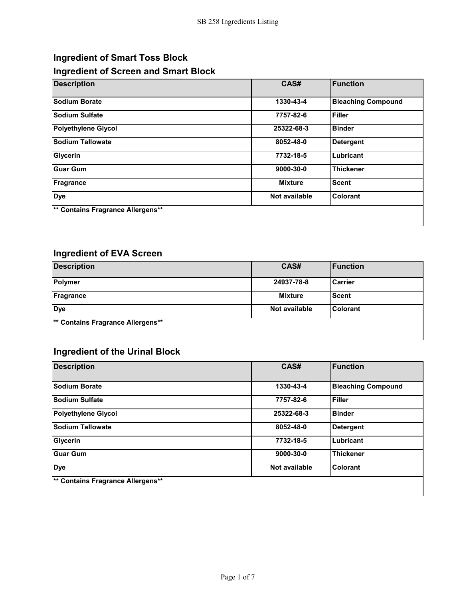## **Ingredient of Smart Toss Block Ingredient of Screen and Smart Block**

| <b>Description</b>                | CAS#                 | <b>Function</b>           |
|-----------------------------------|----------------------|---------------------------|
| <b>Sodium Borate</b>              | 1330-43-4            | <b>Bleaching Compound</b> |
| <b>Sodium Sulfate</b>             | 7757-82-6            | <b>Filler</b>             |
| <b>Polyethylene Glycol</b>        | 25322-68-3           | <b>Binder</b>             |
| <b>Sodium Tallowate</b>           | 8052-48-0            | <b>Detergent</b>          |
| Glycerin                          | 7732-18-5            | Lubricant                 |
| <b>Guar Gum</b>                   | 9000-30-0            | <b>Thickener</b>          |
| <b>Fragrance</b>                  | <b>Mixture</b>       | <b>Scent</b>              |
| <b>Dye</b>                        | <b>Not available</b> | Colorant                  |
| ** Contains Fragrance Allergens** |                      |                           |

## **Ingredient of EVA Screen**

 $\mathsf{l}$ 

| <b>Description</b>                           | CAS#          | <b>Function</b> |
|----------------------------------------------|---------------|-----------------|
| <b>Polymer</b>                               | 24937-78-8    | <b>ICarrier</b> |
| Fragrance                                    | Mixture       | <b>Scent</b>    |
| <b>Dye</b>                                   | Not available | <b>Colorant</b> |
| <sup>**</sup> Contains Fragrance Allergens** |               |                 |
|                                              |               |                 |

## **Ingredient of the Urinal Block**

| <b>Description</b>                           | CAS#            | <b>Function</b>           |
|----------------------------------------------|-----------------|---------------------------|
| Sodium Borate                                | 1330-43-4       | <b>Bleaching Compound</b> |
| <b>Sodium Sulfate</b>                        | 7757-82-6       | Filler                    |
| <b>Polyethylene Glycol</b>                   | 25322-68-3      | <b>Binder</b>             |
| <b>Sodium Tallowate</b>                      | 8052-48-0       | <b>Detergent</b>          |
| Glycerin                                     | 7732-18-5       | Lubricant                 |
| <b>Guar Gum</b>                              | $9000 - 30 - 0$ | <b>Thickener</b>          |
| <b>Dye</b>                                   | Not available   | Colorant                  |
| <sup>**</sup> Contains Fragrance Allergens** |                 |                           |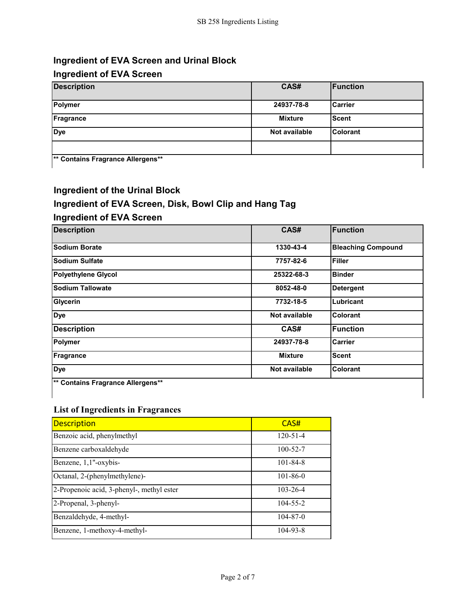## **Ingredient of EVA Screen and Urinal Block**

### **Ingredient of EVA Screen**

| <b>Description</b>                   | CAS#          | <b>Function</b> |
|--------------------------------------|---------------|-----------------|
| Polymer                              | 24937-78-8    | <b>Carrier</b>  |
| Fragrance                            | Mixture       | <b>Scent</b>    |
| <b>Dye</b>                           | Not available | <b>Colorant</b> |
|                                      |               |                 |
| <b>Example Experience Allorances</b> |               |                 |

**Contains Fragrance Allergens** 

#### **Ingredient of the Urinal Block**

### **Ingredient of EVA Screen, Disk, Bowl Clip and Hang Tag**

#### **Ingredient of EVA Screen**

| <b>Description</b>                | CAS#           | Function                  |
|-----------------------------------|----------------|---------------------------|
| <b>Sodium Borate</b>              | 1330-43-4      | <b>Bleaching Compound</b> |
| <b>Sodium Sulfate</b>             | 7757-82-6      | <b>Filler</b>             |
| <b>Polyethylene Glycol</b>        | 25322-68-3     | <b>Binder</b>             |
| <b>Sodium Tallowate</b>           | 8052-48-0      | <b>Detergent</b>          |
| <b>Glycerin</b>                   | 7732-18-5      | Lubricant                 |
| <b>Dye</b>                        | Not available  | <b>Colorant</b>           |
| <b>Description</b>                | CAS#           | Function                  |
| <b>Polymer</b>                    | 24937-78-8     | <b>Carrier</b>            |
| Fragrance                         | <b>Mixture</b> | <b>Scent</b>              |
| <b>Dye</b>                        | Not available  | <b>Colorant</b>           |
| ** Contains Fragrance Allergens** |                |                           |

### **List of Ingredients in Fragrances**

| <b>Description</b>                        | CAS#           |
|-------------------------------------------|----------------|
| Benzoic acid, phenylmethyl                | $120 - 51 - 4$ |
| Benzene carboxaldehyde                    | $100 - 52 - 7$ |
| Benzene, 1,1"-oxybis-                     | $101 - 84 - 8$ |
| Octanal, 2-(phenylmethylene)-             | $101 - 86 - 0$ |
| 2-Propenoic acid, 3-phenyl-, methyl ester | $103 - 26 - 4$ |
| 2-Propenal, 3-phenyl-                     | $104 - 55 - 2$ |
| Benzaldehyde, 4-methyl-                   | $104 - 87 - 0$ |
| Benzene, 1-methoxy-4-methyl-              | $104 - 93 - 8$ |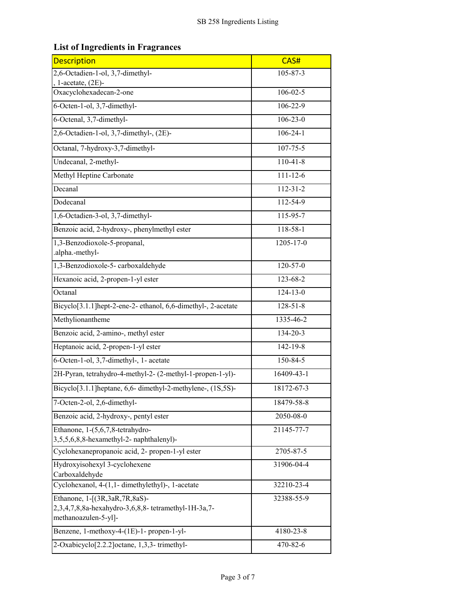### **List of Ingredients in Fragrances**

| <b>Description</b>                                                                                           | CAS#           |
|--------------------------------------------------------------------------------------------------------------|----------------|
| 2,6-Octadien-1-ol, 3,7-dimethyl-                                                                             | $105 - 87 - 3$ |
| 1-acetate, $(2E)$ -                                                                                          |                |
| Oxacyclohexadecan-2-one                                                                                      | $106 - 02 - 5$ |
| 6-Octen-1-ol, 3,7-dimethyl-                                                                                  | $106 - 22 - 9$ |
| 6-Octenal, 3,7-dimethyl-                                                                                     | $106 - 23 - 0$ |
| 2,6-Octadien-1-ol, 3,7-dimethyl-, (2E)-                                                                      | $106 - 24 - 1$ |
| Octanal, 7-hydroxy-3,7-dimethyl-                                                                             | 107-75-5       |
| Undecanal, 2-methyl-                                                                                         | $110-41-8$     |
| Methyl Heptine Carbonate                                                                                     | $111 - 12 - 6$ |
| Decanal                                                                                                      | $112 - 31 - 2$ |
| Dodecanal                                                                                                    | 112-54-9       |
| 1,6-Octadien-3-ol, 3,7-dimethyl-                                                                             | 115-95-7       |
| Benzoic acid, 2-hydroxy-, phenylmethyl ester                                                                 | 118-58-1       |
| 1,3-Benzodioxole-5-propanal,<br>.alpha.-methyl-                                                              | 1205-17-0      |
| 1,3-Benzodioxole-5-carboxaldehyde                                                                            | $120 - 57 - 0$ |
| Hexanoic acid, 2-propen-1-yl ester                                                                           | 123-68-2       |
| Octanal                                                                                                      | $124 - 13 - 0$ |
| Bicyclo[3.1.1]hept-2-ene-2- ethanol, 6,6-dimethyl-, 2-acetate                                                | $128 - 51 - 8$ |
| Methylionantheme                                                                                             | 1335-46-2      |
| Benzoic acid, 2-amino-, methyl ester<br>134-20-3                                                             |                |
| Heptanoic acid, 2-propen-1-yl ester<br>$142 - 19 - 8$                                                        |                |
| 150-84-5<br>6-Octen-1-ol, 3,7-dimethyl-, 1- acetate                                                          |                |
| 2H-Pyran, tetrahydro-4-methyl-2- (2-methyl-1-propen-1-yl)-                                                   | 16409-43-1     |
| Bicyclo <sup>[3.1.1</sup> ] heptane, 6,6-dimethyl-2-methylene-, (1S,5S)-                                     | 18172-67-3     |
| 7-Octen-2-ol, 2,6-dimethyl-                                                                                  | 18479-58-8     |
| Benzoic acid, 2-hydroxy-, pentyl ester                                                                       | 2050-08-0      |
| Ethanone, 1-(5,6,7,8-tetrahydro-<br>3,5,5,6,8,8-hexamethyl-2- naphthalenyl)-                                 | 21145-77-7     |
| Cyclohexanepropanoic acid, 2- propen-1-yl ester                                                              | 2705-87-5      |
| Hydroxyisohexyl 3-cyclohexene<br>Carboxaldehyde                                                              | 31906-04-4     |
| Cyclohexanol, 4-(1,1- dimethylethyl)-, 1-acetate                                                             | 32210-23-4     |
| Ethanone, 1-[(3R,3aR,7R,8aS)-<br>2,3,4,7,8,8a-hexahydro-3,6,8,8-tetramethyl-1H-3a,7-<br>methanoazulen-5-yl]- | 32388-55-9     |
| Benzene, 1-methoxy-4-(1E)-1- propen-1-yl-                                                                    | 4180-23-8      |
| 2-Oxabicyclo[2.2.2]octane, 1,3,3-trimethyl-                                                                  | 470-82-6       |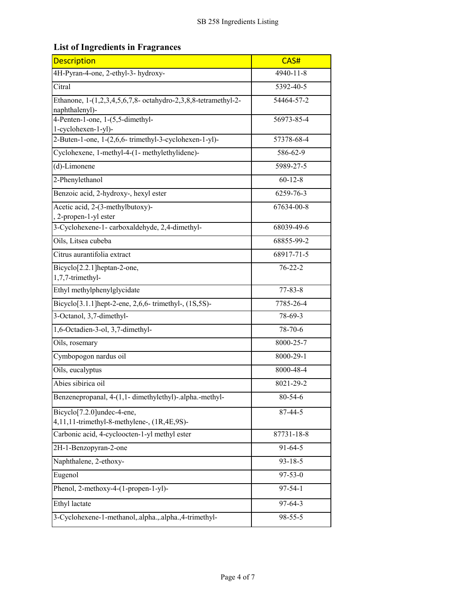# **List of Ingredients in Fragrances**

| <b>Description</b>                                                                     | CAS#          |
|----------------------------------------------------------------------------------------|---------------|
| 4H-Pyran-4-one, 2-ethyl-3- hydroxy-                                                    | 4940-11-8     |
| Citral                                                                                 | 5392-40-5     |
| Ethanone, 1-(1,2,3,4,5,6,7,8- octahydro-2,3,8,8-tetramethyl-2-<br>naphthalenyl)-       | 54464-57-2    |
| 4-Penten-1-one, 1-(5,5-dimethyl-<br>1-cyclohexen-1-yl)-                                | 56973-85-4    |
| 2-Buten-1-one, 1-(2,6,6-trimethyl-3-cyclohexen-1-yl)-                                  | 57378-68-4    |
| Cyclohexene, 1-methyl-4-(1- methylethylidene)-                                         | 586-62-9      |
| (d)-Limonene                                                                           | 5989-27-5     |
| 2-Phenylethanol                                                                        | $60 - 12 - 8$ |
| Benzoic acid, 2-hydroxy-, hexyl ester                                                  | 6259-76-3     |
| Acetic acid, 2-(3-methylbutoxy)-<br>2-propen-1-yl ester                                | 67634-00-8    |
| 3-Cyclohexene-1- carboxaldehyde, 2,4-dimethyl-                                         | 68039-49-6    |
| Oils, Litsea cubeba                                                                    | 68855-99-2    |
| Citrus aurantifolia extract                                                            | 68917-71-5    |
| Bicyclo[2.2.1]heptan-2-one,<br>1,7,7-trimethyl-                                        | $76 - 22 - 2$ |
| Ethyl methylphenylglycidate                                                            | $77 - 83 - 8$ |
| Bicyclo <sup>[3.1.1]</sup> hept-2-ene, 2,6,6- trimethyl-, (1S,5S)-                     | 7785-26-4     |
| 3-Octanol, 3,7-dimethyl-<br>78-69-3                                                    |               |
| 1,6-Octadien-3-ol, 3,7-dimethyl-<br>78-70-6                                            |               |
| 8000-25-7<br>Oils, rosemary                                                            |               |
| Cymbopogon nardus oil<br>8000-29-1                                                     |               |
| Oils, eucalyptus<br>8000-48-4                                                          |               |
| Abies sibirica oil                                                                     | 8021-29-2     |
| Benzenepropanal, 4-(1,1- dimethylethyl)-.alpha.-methyl-                                | 80-54-6       |
| Bicyclo <sup>[7.2.0]</sup> undec-4-ene,<br>4,11,11-trimethyl-8-methylene-, (1R,4E,9S)- | $87 - 44 - 5$ |
| Carbonic acid, 4-cycloocten-1-yl methyl ester                                          | 87731-18-8    |
| 2H-1-Benzopyran-2-one                                                                  | $91 - 64 - 5$ |
| Naphthalene, 2-ethoxy-<br>$93 - 18 - 5$                                                |               |
| $97 - 53 - 0$<br>Eugenol                                                               |               |
| Phenol, 2-methoxy-4-(1-propen-1-yl)-                                                   | $97 - 54 - 1$ |
| Ethyl lactate                                                                          | $97 - 64 - 3$ |
| $98 - 55 - 5$<br>3-Cyclohexene-1-methanol, alpha., alpha., 4-trimethyl-                |               |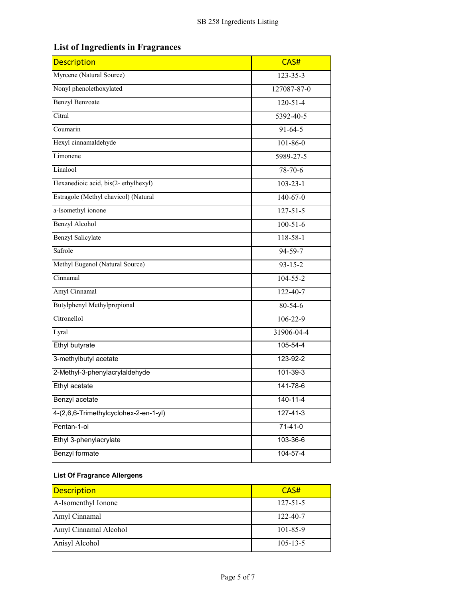## **List of Ingredients in Fragrances**

| <b>Description</b>                                | CAS#           |
|---------------------------------------------------|----------------|
| Myrcene (Natural Source)                          | $123 - 35 - 3$ |
| Nonyl phenolethoxylated<br>127087-87-0            |                |
| <b>Benzyl Benzoate</b>                            | $120 - 51 - 4$ |
| Citral                                            | 5392-40-5      |
| Coumarin                                          | $91 - 64 - 5$  |
| Hexyl cinnamaldehyde                              | $101 - 86 - 0$ |
| Limonene                                          | 5989-27-5      |
| Linalool                                          | 78-70-6        |
| Hexanedioic acid, bis(2-ethylhexyl)               | $103 - 23 - 1$ |
| Estragole (Methyl chavicol) (Natural              | $140-67-0$     |
| a-Isomethyl ionone                                | $127 - 51 - 5$ |
| <b>Benzyl Alcohol</b>                             | $100 - 51 - 6$ |
| <b>Benzyl Salicylate</b>                          | 118-58-1       |
| Safrole                                           | 94-59-7        |
| Methyl Eugenol (Natural Source)                   | $93 - 15 - 2$  |
| Cinnamal                                          | $104 - 55 - 2$ |
| Amyl Cinnamal                                     | 122-40-7       |
| Butylphenyl Methylpropional<br>80-54-6            |                |
| Citronellol<br>$106 - 22 - 9$                     |                |
| Lyral                                             | 31906-04-4     |
| Ethyl butyrate                                    | 105-54-4       |
| 3-methylbutyl acetate<br>123-92-2                 |                |
| 2-Methyl-3-phenylacrylaldehyde<br>$101 - 39 - 3$  |                |
| Ethyl acetate<br>141-78-6                         |                |
| 140-11-4<br>Benzyl acetate                        |                |
| 4-(2,6,6-Trimethylcyclohex-2-en-1-yl)<br>127-41-3 |                |
| Pentan-1-ol                                       | $71-41-0$      |
| Ethyl 3-phenylacrylate<br>103-36-6                |                |
| Benzyl formate<br>$104 - 57 - 4$                  |                |

#### **List Of Fragrance Allergens**

| Description           | CAS#           |
|-----------------------|----------------|
| A-Isomenthyl Ionone   | $127 - 51 - 5$ |
| Amyl Cinnamal         | $122 - 40 - 7$ |
| Amyl Cinnamal Alcohol | $101 - 85 - 9$ |
| Anisyl Alcohol        | $105 - 13 - 5$ |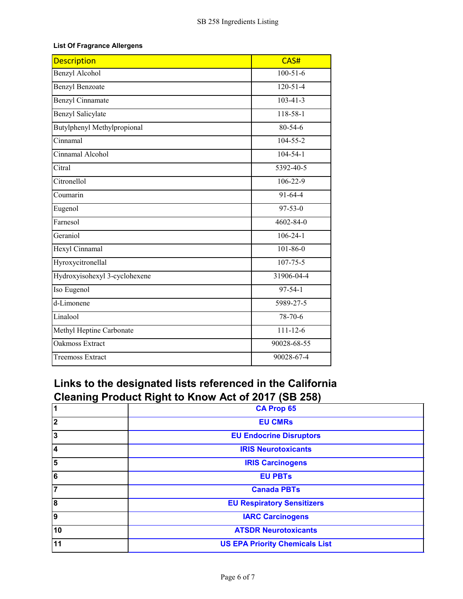#### **List Of Fragrance Allergens**

| <b>Description</b>                    | CAS#            |
|---------------------------------------|-----------------|
| Benzyl Alcohol                        | $100 - 51 - 6$  |
| <b>Benzyl Benzoate</b>                | $120 - 51 - 4$  |
| <b>Benzyl Cinnamate</b>               | $103 - 41 - 3$  |
| <b>Benzyl Salicylate</b>              | 118-58-1        |
| Butylphenyl Methylpropional           | 80-54-6         |
| Cinnamal                              | 104-55-2        |
| Cinnamal Alcohol                      | $104 - 54 - 1$  |
| Citral                                | 5392-40-5       |
| Citronellol                           | $106 - 22 - 9$  |
| Coumarin                              | $91-64-4$       |
| Eugenol                               | $97 - 53 - 0$   |
| Farnesol                              | $4602 - 84 - 0$ |
| Geraniol                              | $106 - 24 - 1$  |
| Hexyl Cinnamal                        | $101 - 86 - 0$  |
| Hyroxycitronellal                     | $107 - 75 - 5$  |
| Hydroxyisohexyl 3-cyclohexene         | 31906-04-4      |
| Iso Eugenol                           | $97 - 54 - 1$   |
| $\overline{\text{d-Limon}}$ ene       | 5989-27-5       |
| Linalool                              | $78 - 70 - 6$   |
| Methyl Heptine Carbonate              | $111 - 12 - 6$  |
| Oakmoss Extract                       | 90028-68-55     |
| 90028-67-4<br><b>Treemoss Extract</b> |                 |

# **Links to the designated lists referenced in the California Cleaning Product Right to Know Act of 2017 (SB 258)**

| $\overline{\mathbf{1}}$ | <b>CA Prop 65</b>                     |
|-------------------------|---------------------------------------|
| $\overline{\mathbf{2}}$ | <b>EU CMRs</b>                        |
| 3                       | <b>EU Endocrine Disruptors</b>        |
| 4                       | <b>IRIS Neurotoxicants</b>            |
| 5                       | <b>IRIS Carcinogens</b>               |
| 6                       | <b>EU PBTs</b>                        |
| 7                       | <b>Canada PBTs</b>                    |
| 8                       | <b>EU Respiratory Sensitizers</b>     |
| 9                       | <b>IARC Carcinogens</b>               |
| 10                      | <b>ATSDR Neurotoxicants</b>           |
| 11                      | <b>US EPA Priority Chemicals List</b> |